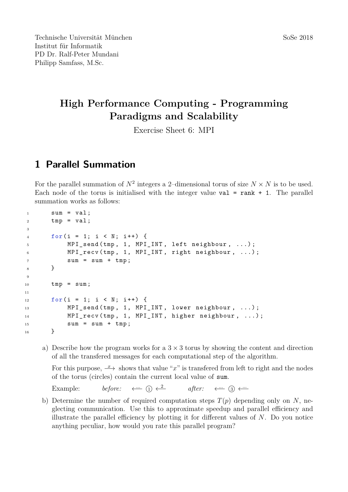## **High Performance Computing - Programming Paradigms and Scalability**

Exercise Sheet 6: MPI

## **1 Parallel Summation**

For the parallel summation of  $N^2$  integers a 2-dimensional torus of size  $N \times N$  is to be used. Each node of the torus is initialised with the integer value  $val = rank + 1$ . The parallel summation works as follows:

```
1 sum = val;
2 \text{tmp} = \text{val};3
4 for( i = 1; i < N ; i ++) {
5 MPI_send ( tmp , 1 , MPI_INT , left neighbour , ...) ;
6 MPI_recv (tmp, 1, MPI_INT, right neighbour, ...);
          sum = sum + tmp;8 }
\alpha10 tmp = sum;
11
_{12} for(i = 1; i \lt N; i++) {
13 MPI_send (tmp, 1, MPI_INT, lower neighbour, ...);
14 MPI_recv(tmp, 1, MPI_INT, higher neighbour, ...);
15 sum = sum + tmp;
16 }
```
a) Describe how the program works for a  $3 \times 3$  torus by showing the content and direction of all the transfered messages for each computational step of the algorithm.

For this purpose,  $\rightarrow$  *x* shows that value "*x*" is transferred from left to right and the nodes of the torus (circles) contain the current local value of sum.

Example: *before:*  $\leftarrow$   $\Omega$   $\rightleftarrows$  $after: \quad \longleftrightarrow$  3 ← $\rightarrow$ 

b) Determine the number of required computation steps  $T(p)$  depending only on *N*, neglecting communication. Use this to approximate speedup and parallel efficiency and illustrate the parallel efficiency by plotting it for different values of *N*. Do you notice anything peculiar, how would you rate this parallel program?